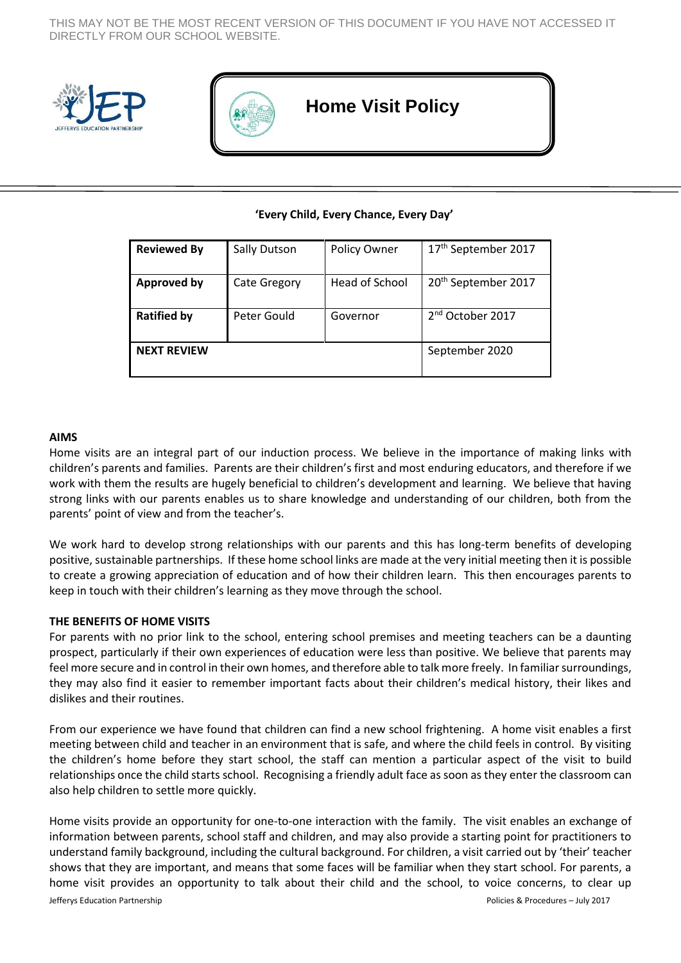THIS MAY NOT BE THE MOST RECENT VERSION OF THIS DOCUMENT IF YOU HAVE NOT ACCESSED IT DIRECTLY FROM OUR SCHOOL WEBSITE.





# **Home Visit Policy**

## **'Every Child, Every Chance, Every Day'**

| <b>Reviewed By</b> | Sally Dutson        | Policy Owner   | 17 <sup>th</sup> September 2017 |
|--------------------|---------------------|----------------|---------------------------------|
| <b>Approved by</b> | <b>Cate Gregory</b> | Head of School | 20 <sup>th</sup> September 2017 |
| <b>Ratified by</b> | Peter Gould         | Governor       | $2nd$ October 2017              |
| <b>NEXT REVIEW</b> |                     |                | September 2020                  |

#### **AIMS**

Home visits are an integral part of our induction process. We believe in the importance of making links with children's parents and families. Parents are their children's first and most enduring educators, and therefore if we work with them the results are hugely beneficial to children's development and learning. We believe that having strong links with our parents enables us to share knowledge and understanding of our children, both from the parents' point of view and from the teacher's.

We work hard to develop strong relationships with our parents and this has long-term benefits of developing positive, sustainable partnerships. If these home school links are made at the very initial meeting then it is possible to create a growing appreciation of education and of how their children learn. This then encourages parents to keep in touch with their children's learning as they move through the school.

#### **THE BENEFITS OF HOME VISITS**

For parents with no prior link to the school, entering school premises and meeting teachers can be a daunting prospect, particularly if their own experiences of education were less than positive. We believe that parents may feel more secure and in control in their own homes, and therefore able to talk more freely. In familiar surroundings, they may also find it easier to remember important facts about their children's medical history, their likes and dislikes and their routines.

From our experience we have found that children can find a new school frightening. A home visit enables a first meeting between child and teacher in an environment that is safe, and where the child feels in control. By visiting the children's home before they start school, the staff can mention a particular aspect of the visit to build relationships once the child starts school. Recognising a friendly adult face as soon as they enter the classroom can also help children to settle more quickly.

Jefferys Education Partnership Policies & Procedures – July 2017 Home visits provide an opportunity for one-to-one interaction with the family. The visit enables an exchange of information between parents, school staff and children, and may also provide a starting point for practitioners to understand family background, including the cultural background. For children, a visit carried out by 'their' teacher shows that they are important, and means that some faces will be familiar when they start school. For parents, a home visit provides an opportunity to talk about their child and the school, to voice concerns, to clear up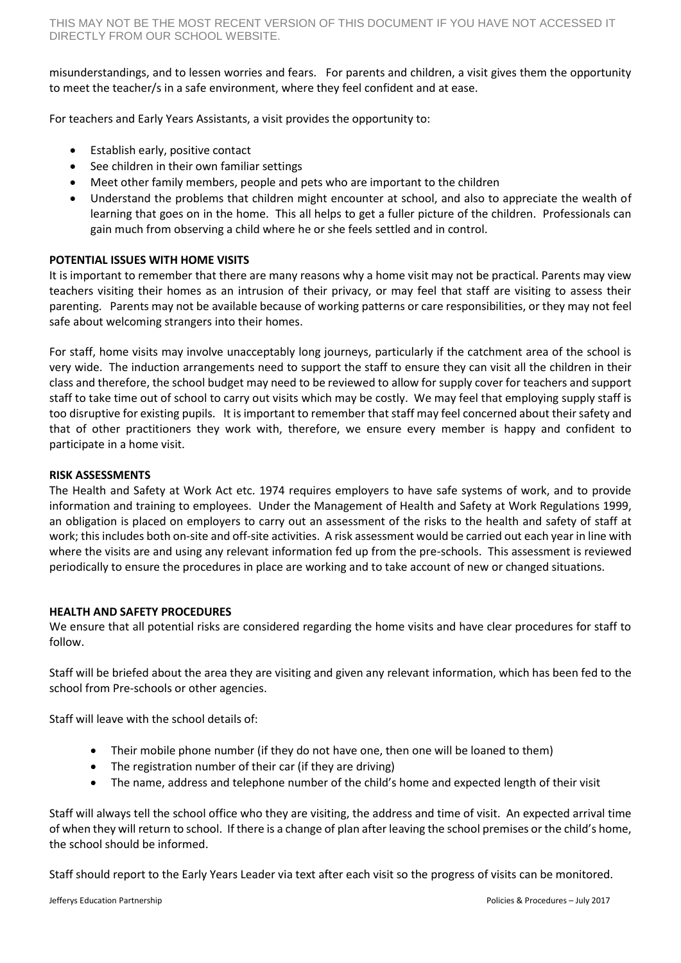misunderstandings, and to lessen worries and fears. For parents and children, a visit gives them the opportunity to meet the teacher/s in a safe environment, where they feel confident and at ease.

For teachers and Early Years Assistants, a visit provides the opportunity to:

- Establish early, positive contact
- See children in their own familiar settings
- Meet other family members, people and pets who are important to the children
- Understand the problems that children might encounter at school, and also to appreciate the wealth of learning that goes on in the home. This all helps to get a fuller picture of the children. Professionals can gain much from observing a child where he or she feels settled and in control.

## **POTENTIAL ISSUES WITH HOME VISITS**

It is important to remember that there are many reasons why a home visit may not be practical. Parents may view teachers visiting their homes as an intrusion of their privacy, or may feel that staff are visiting to assess their parenting. Parents may not be available because of working patterns or care responsibilities, or they may not feel safe about welcoming strangers into their homes.

For staff, home visits may involve unacceptably long journeys, particularly if the catchment area of the school is very wide. The induction arrangements need to support the staff to ensure they can visit all the children in their class and therefore, the school budget may need to be reviewed to allow for supply cover for teachers and support staff to take time out of school to carry out visits which may be costly. We may feel that employing supply staff is too disruptive for existing pupils. It is important to remember that staff may feel concerned about their safety and that of other practitioners they work with, therefore, we ensure every member is happy and confident to participate in a home visit.

#### **RISK ASSESSMENTS**

The Health and Safety at Work Act etc. 1974 requires employers to have safe systems of work, and to provide information and training to employees. Under the Management of Health and Safety at Work Regulations 1999, an obligation is placed on employers to carry out an assessment of the risks to the health and safety of staff at work; this includes both on-site and off-site activities. A risk assessment would be carried out each year in line with where the visits are and using any relevant information fed up from the pre-schools. This assessment is reviewed periodically to ensure the procedures in place are working and to take account of new or changed situations.

## **HEALTH AND SAFETY PROCEDURES**

We ensure that all potential risks are considered regarding the home visits and have clear procedures for staff to follow.

Staff will be briefed about the area they are visiting and given any relevant information, which has been fed to the school from Pre-schools or other agencies.

Staff will leave with the school details of:

- Their mobile phone number (if they do not have one, then one will be loaned to them)
- The registration number of their car (if they are driving)
- The name, address and telephone number of the child's home and expected length of their visit

Staff will always tell the school office who they are visiting, the address and time of visit. An expected arrival time of when they will return to school. If there is a change of plan after leaving the school premises or the child's home, the school should be informed.

Staff should report to the Early Years Leader via text after each visit so the progress of visits can be monitored.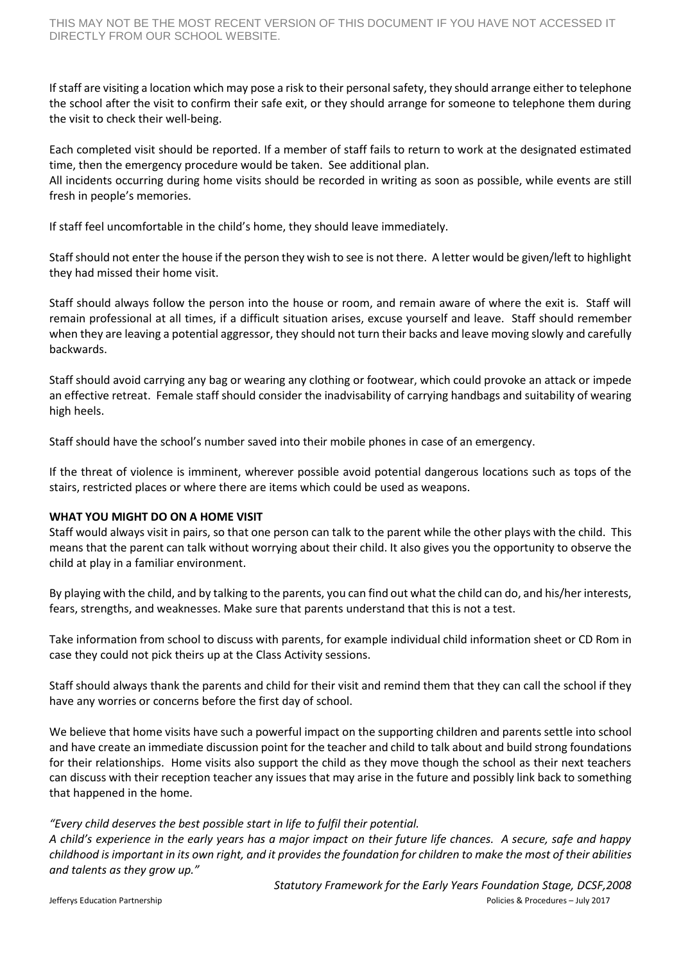If staff are visiting a location which may pose a risk to their personal safety, they should arrange either to telephone the school after the visit to confirm their safe exit, or they should arrange for someone to telephone them during the visit to check their well-being.

Each completed visit should be reported. If a member of staff fails to return to work at the designated estimated time, then the emergency procedure would be taken. See additional plan.

All incidents occurring during home visits should be recorded in writing as soon as possible, while events are still fresh in people's memories.

If staff feel uncomfortable in the child's home, they should leave immediately.

Staff should not enter the house if the person they wish to see is not there. A letter would be given/left to highlight they had missed their home visit.

Staff should always follow the person into the house or room, and remain aware of where the exit is. Staff will remain professional at all times, if a difficult situation arises, excuse yourself and leave. Staff should remember when they are leaving a potential aggressor, they should not turn their backs and leave moving slowly and carefully backwards.

Staff should avoid carrying any bag or wearing any clothing or footwear, which could provoke an attack or impede an effective retreat. Female staff should consider the inadvisability of carrying handbags and suitability of wearing high heels.

Staff should have the school's number saved into their mobile phones in case of an emergency.

If the threat of violence is imminent, wherever possible avoid potential dangerous locations such as tops of the stairs, restricted places or where there are items which could be used as weapons.

## **WHAT YOU MIGHT DO ON A HOME VISIT**

Staff would always visit in pairs, so that one person can talk to the parent while the other plays with the child. This means that the parent can talk without worrying about their child. It also gives you the opportunity to observe the child at play in a familiar environment.

By playing with the child, and by talking to the parents, you can find out what the child can do, and his/her interests, fears, strengths, and weaknesses. Make sure that parents understand that this is not a test.

Take information from school to discuss with parents, for example individual child information sheet or CD Rom in case they could not pick theirs up at the Class Activity sessions.

Staff should always thank the parents and child for their visit and remind them that they can call the school if they have any worries or concerns before the first day of school.

We believe that home visits have such a powerful impact on the supporting children and parents settle into school and have create an immediate discussion point for the teacher and child to talk about and build strong foundations for their relationships. Home visits also support the child as they move though the school as their next teachers can discuss with their reception teacher any issues that may arise in the future and possibly link back to something that happened in the home.

## *"Every child deserves the best possible start in life to fulfil their potential.*

*A child's experience in the early years has a major impact on their future life chances. A secure, safe and happy childhood is important in its own right, and it provides the foundation for children to make the most of their abilities and talents as they grow up."*